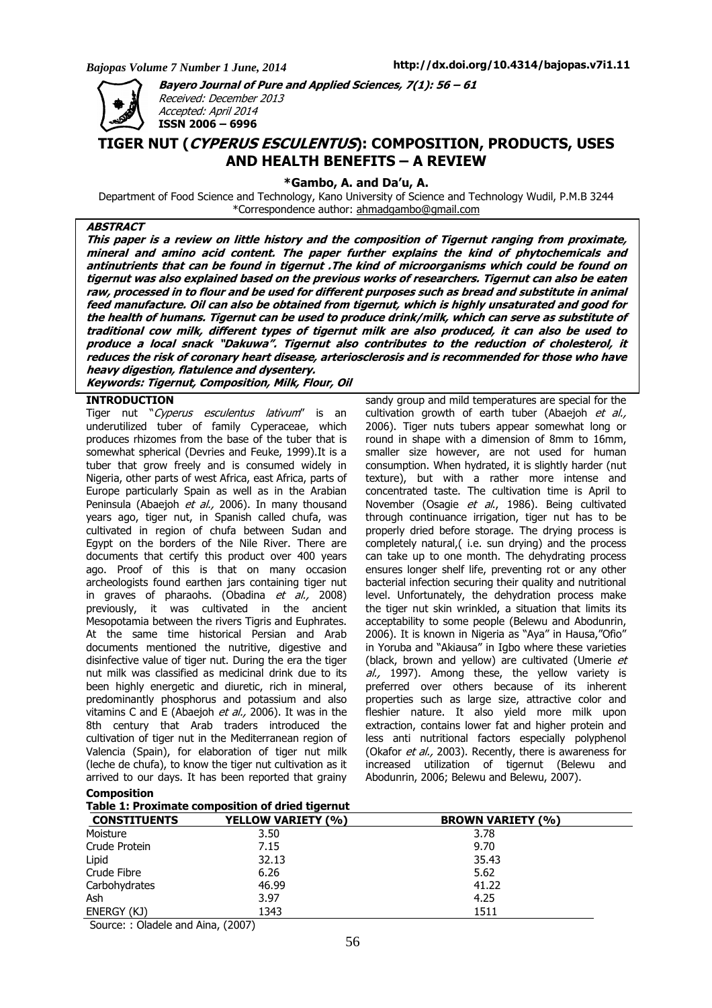

**Bayero Journal of Pure and Applied Sciences, 7(1): 56 – 61**  Received: December 2013 Accepted: April 2014 **ISSN 2006 – 6996** 

# **TIGER NUT (CYPERUS ESCULENTUS): COMPOSITION, PRODUCTS, USES AND HEALTH BENEFITS – A REVIEW**

**\*Gambo, A. and Da'u, A.** 

Department of Food Science and Technology, Kano University of Science and Technology Wudil, P.M.B 3244 \*Correspondence author: ahmadgambo@gmail.com

# **ABSTRACT**

**This paper is a review on little history and the composition of Tigernut ranging from proximate, mineral and amino acid content. The paper further explains the kind of phytochemicals and antinutrients that can be found in tigernut .The kind of microorganisms which could be found on tigernut was also explained based on the previous works of researchers. Tigernut can also be eaten raw, processed in to flour and be used for different purposes such as bread and substitute in animal feed manufacture. Oil can also be obtained from tigernut, which is highly unsaturated and good for the health of humans. Tigernut can be used to produce drink/milk, which can serve as substitute of traditional cow milk, different types of tigernut milk are also produced, it can also be used to produce a local snack "Dakuwa". Tigernut also contributes to the reduction of cholesterol, it reduces the risk of coronary heart disease, arteriosclerosis and is recommended for those who have heavy digestion, flatulence and dysentery. Keywords: Tigernut, Composition, Milk, Flour, Oil** 

## **INTRODUCTION**

Tiger nut "Cyperus esculentus lativum" is an underutilized tuber of family Cyperaceae, which produces rhizomes from the base of the tuber that is somewhat spherical (Devries and Feuke, 1999).It is a tuber that grow freely and is consumed widely in Nigeria, other parts of west Africa, east Africa, parts of Europe particularly Spain as well as in the Arabian Peninsula (Abaejoh et al., 2006). In many thousand years ago, tiger nut, in Spanish called chufa, was cultivated in region of chufa between Sudan and Egypt on the borders of the Nile River. There are documents that certify this product over 400 years ago. Proof of this is that on many occasion archeologists found earthen jars containing tiger nut in graves of pharaohs. (Obadina et al., 2008) previously, it was cultivated in the ancient Mesopotamia between the rivers Tigris and Euphrates. At the same time historical Persian and Arab documents mentioned the nutritive, digestive and disinfective value of tiger nut. During the era the tiger nut milk was classified as medicinal drink due to its been highly energetic and diuretic, rich in mineral, predominantly phosphorus and potassium and also vitamins C and E (Abaejoh et al., 2006). It was in the 8th century that Arab traders introduced the cultivation of tiger nut in the Mediterranean region of Valencia (Spain), for elaboration of tiger nut milk (leche de chufa), to know the tiger nut cultivation as it arrived to our days. It has been reported that grainy sandy group and mild temperatures are special for the cultivation growth of earth tuber (Abaejoh et al., 2006). Tiger nuts tubers appear somewhat long or round in shape with a dimension of 8mm to 16mm, smaller size however, are not used for human consumption. When hydrated, it is slightly harder (nut texture), but with a rather more intense and concentrated taste. The cultivation time is April to November (Osagie et al., 1986). Being cultivated through continuance irrigation, tiger nut has to be properly dried before storage. The drying process is completely natural,( i.e. sun drying) and the process can take up to one month. The dehydrating process ensures longer shelf life, preventing rot or any other bacterial infection securing their quality and nutritional level. Unfortunately, the dehydration process make the tiger nut skin wrinkled, a situation that limits its acceptability to some people (Belewu and Abodunrin, 2006). It is known in Nigeria as "Aya" in Hausa,"Ofio" in Yoruba and "Akiausa" in Igbo where these varieties (black, brown and yellow) are cultivated (Umerie et al., 1997). Among these, the yellow variety is preferred over others because of its inherent properties such as large size, attractive color and fleshier nature. It also yield more milk upon extraction, contains lower fat and higher protein and less anti nutritional factors especially polyphenol (Okafor et al., 2003). Recently, there is awareness for increased utilization of tigernut (Belewu and Abodunrin, 2006; Belewu and Belewu, 2007).

## **Composition**

**Table 1: Proximate composition of dried tigernut** 

| <b>CONSTITUENTS</b> | YELLOW VARIETY (%) | <b>BROWN VARIETY (%)</b> |
|---------------------|--------------------|--------------------------|
| Moisture            | 3.50               | 3.78                     |
| Crude Protein       | 7.15               | 9.70                     |
| Lipid               | 32.13              | 35.43                    |
| Crude Fibre         | 6.26               | 5.62                     |
| Carbohydrates       | 46.99              | 41.22                    |
| Ash                 | 3.97               | 4.25                     |
| ENERGY (KJ)         | 1343               | 1511                     |

Source: : Oladele and Aina, (2007)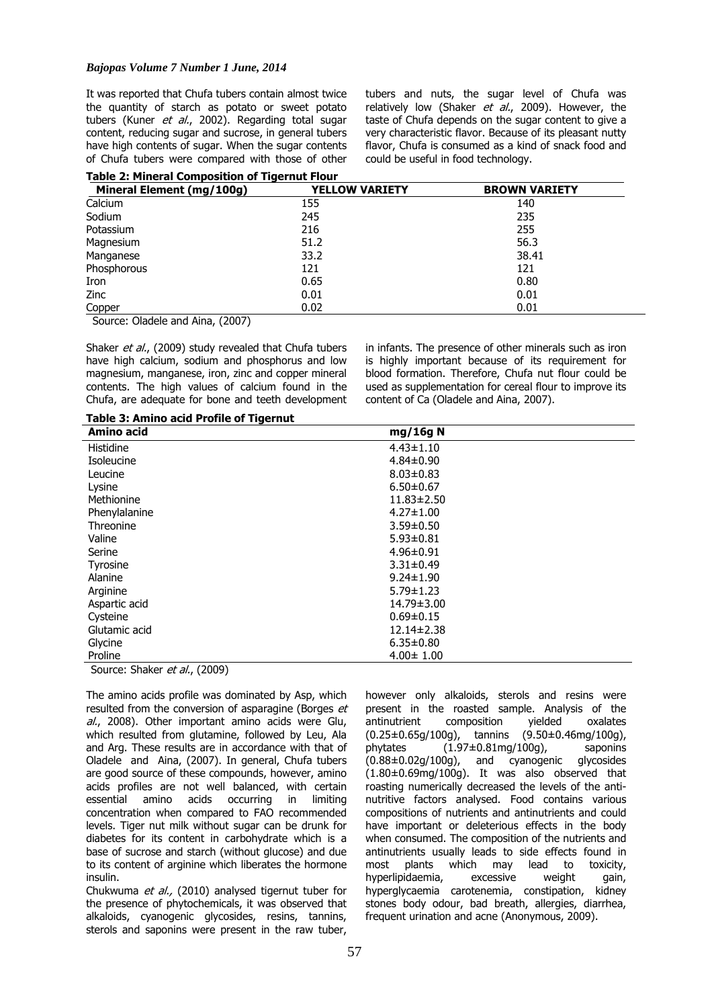It was reported that Chufa tubers contain almost twice the quantity of starch as potato or sweet potato tubers (Kuner et al., 2002). Regarding total sugar content, reducing sugar and sucrose, in general tubers have high contents of sugar. When the sugar contents of Chufa tubers were compared with those of other tubers and nuts, the sugar level of Chufa was relatively low (Shaker et  $aL$ , 2009). However, the taste of Chufa depends on the sugar content to give a very characteristic flavor. Because of its pleasant nutty flavor, Chufa is consumed as a kind of snack food and could be useful in food technology.

|  |  | <b>Table 2: Mineral Composition of Tigernut Flour</b> |
|--|--|-------------------------------------------------------|
|--|--|-------------------------------------------------------|

| Mineral Element (mg/100g) | <b>YELLOW VARIETY</b> | <b>BROWN VARIETY</b> |
|---------------------------|-----------------------|----------------------|
| Calcium                   | 155                   | 140                  |
| Sodium                    | 245                   | 235                  |
| Potassium                 | 216                   | 255                  |
| Magnesium                 | 51.2                  | 56.3                 |
| Manganese                 | 33.2                  | 38.41                |
| Phosphorous               | 121                   | 121                  |
| Iron                      | 0.65                  | 0.80                 |
| <b>Zinc</b>               | 0.01                  | 0.01                 |
| Copper                    | 0.02                  | 0.01                 |

Source: Oladele and Aina, (2007)

Shaker et al., (2009) study revealed that Chufa tubers have high calcium, sodium and phosphorus and low magnesium, manganese, iron, zinc and copper mineral contents. The high values of calcium found in the Chufa, are adequate for bone and teeth development in infants. The presence of other minerals such as iron is highly important because of its requirement for blood formation. Therefore, Chufa nut flour could be used as supplementation for cereal flour to improve its content of Ca (Oladele and Aina, 2007).

| <b>Table 3: Amino acid Profile of Tigernut</b> |                  |  |
|------------------------------------------------|------------------|--|
| Amino acid                                     | mg/16g N         |  |
| Histidine                                      | $4.43 \pm 1.10$  |  |
| Isoleucine                                     | $4.84 \pm 0.90$  |  |
| Leucine                                        | $8.03 \pm 0.83$  |  |
| Lysine                                         | $6.50 \pm 0.67$  |  |
| Methionine                                     | $11.83 \pm 2.50$ |  |
| Phenylalanine                                  | $4.27 \pm 1.00$  |  |
| Threonine                                      | $3.59 \pm 0.50$  |  |
| Valine                                         | $5.93 \pm 0.81$  |  |
| Serine                                         | $4.96 \pm 0.91$  |  |
| Tyrosine                                       | $3.31 \pm 0.49$  |  |
| Alanine                                        | $9.24 \pm 1.90$  |  |
| Arginine                                       | $5.79 \pm 1.23$  |  |
| Aspartic acid                                  | 14.79±3.00       |  |
| Cysteine                                       | $0.69 \pm 0.15$  |  |
| Glutamic acid                                  | $12.14 \pm 2.38$ |  |
| Glycine                                        | $6.35 \pm 0.80$  |  |
| Proline                                        | $4.00 \pm 1.00$  |  |
| $C_{2}$ $(0, 0)$                               |                  |  |

Source: Shaker *et al.*, (2009)

The amino acids profile was dominated by Asp, which resulted from the conversion of asparagine (Borges et al., 2008). Other important amino acids were Glu, which resulted from glutamine, followed by Leu, Ala and Arg. These results are in accordance with that of Oladele and Aina, (2007). In general, Chufa tubers are good source of these compounds, however, amino acids profiles are not well balanced, with certain essential amino acids occurring in limiting concentration when compared to FAO recommended levels. Tiger nut milk without sugar can be drunk for diabetes for its content in carbohydrate which is a base of sucrose and starch (without glucose) and due to its content of arginine which liberates the hormone insulin.

Chukwuma et al., (2010) analysed tigernut tuber for the presence of phytochemicals, it was observed that alkaloids, cyanogenic glycosides, resins, tannins, sterols and saponins were present in the raw tuber,

however only alkaloids, sterols and resins were present in the roasted sample. Analysis of the antinutrient composition yielded oxalates (0.25±0.65g/100g), tannins (9.50±0.46mg/100g), phytates (1.97±0.81mg/100g), saponins<br>(0.88±0.02g/100g), and cyanogenic glycosides (0.88±0.02g/100g), and cyanogenic glycosides (1.80±0.69mg/100g). It was also observed that roasting numerically decreased the levels of the antinutritive factors analysed. Food contains various compositions of nutrients and antinutrients and could have important or deleterious effects in the body when consumed. The composition of the nutrients and antinutrients usually leads to side effects found in most plants which may lead to toxicity, hyperlipidaemia, excessive weight gain, hyperglycaemia carotenemia, constipation, kidney stones body odour, bad breath, allergies, diarrhea, frequent urination and acne (Anonymous, 2009).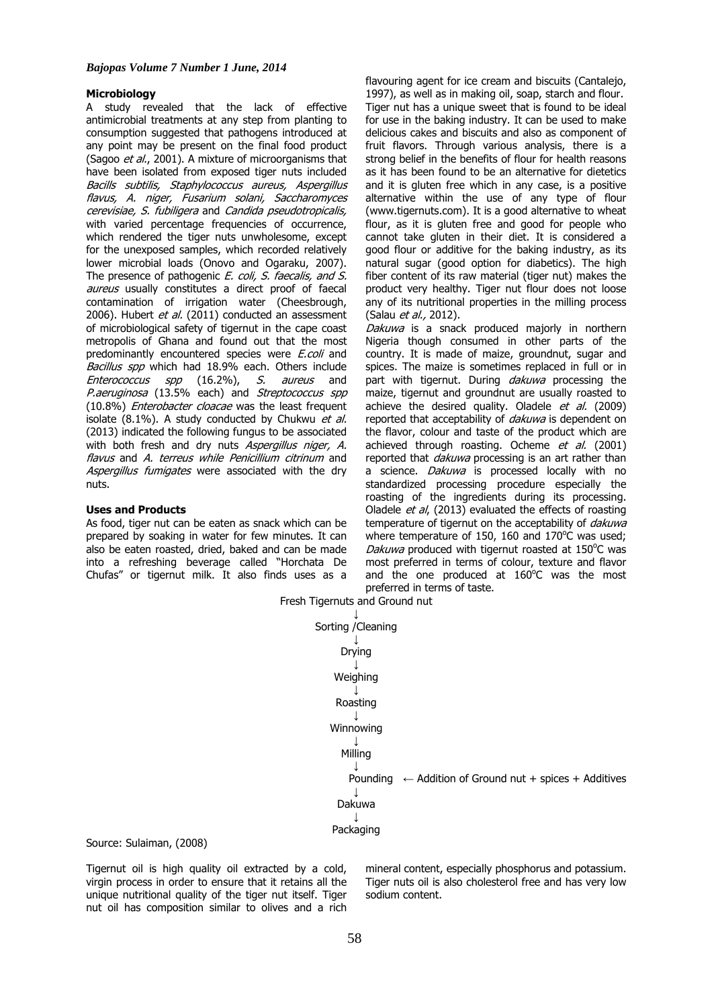#### **Microbiology**

A study revealed that the lack of effective antimicrobial treatments at any step from planting to consumption suggested that pathogens introduced at any point may be present on the final food product (Sagoo et al., 2001). A mixture of microorganisms that have been isolated from exposed tiger nuts included Bacills subtilis, Staphylococcus aureus, Aspergillus flavus, A. niger, Fusarium solani, Saccharomyces cerevisiae, S. fubiligera and Candida pseudotropicalis, with varied percentage frequencies of occurrence, which rendered the tiger nuts unwholesome, except for the unexposed samples, which recorded relatively lower microbial loads (Onovo and Ogaraku, 2007). The presence of pathogenic E. coli, S. faecalis, and S. aureus usually constitutes a direct proof of faecal contamination of irrigation water (Cheesbrough, 2006). Hubert et al. (2011) conducted an assessment of microbiological safety of tigernut in the cape coast metropolis of Ghana and found out that the most predominantly encountered species were *E.coli* and Bacillus spp which had 18.9% each. Others include Enterococcus spp (16.2%), S. aureus and P.aeruginosa (13.5% each) and Streptococcus spp (10.8%) Enterobacter cloacae was the least frequent isolate  $(8.1\%)$ . A study conducted by Chukwu et al. (2013) indicated the following fungus to be associated with both fresh and dry nuts Aspergillus niger, A. flavus and A. terreus while Penicillium citrinum and Aspergillus fumigates were associated with the dry nuts.

#### **Uses and Products**

As food, tiger nut can be eaten as snack which can be prepared by soaking in water for few minutes. It can also be eaten roasted, dried, baked and can be made into a refreshing beverage called "Horchata De Chufas" or tigernut milk. It also finds uses as a flavouring agent for ice cream and biscuits (Cantalejo, 1997), as well as in making oil, soap, starch and flour. Tiger nut has a unique sweet that is found to be ideal for use in the baking industry. It can be used to make delicious cakes and biscuits and also as component of fruit flavors. Through various analysis, there is a strong belief in the benefits of flour for health reasons as it has been found to be an alternative for dietetics and it is gluten free which in any case, is a positive alternative within the use of any type of flour (www.tigernuts.com). It is a good alternative to wheat flour, as it is gluten free and good for people who cannot take gluten in their diet. It is considered a good flour or additive for the baking industry, as its natural sugar (good option for diabetics). The high fiber content of its raw material (tiger nut) makes the product very healthy. Tiger nut flour does not loose any of its nutritional properties in the milling process (Salau *et al.*, 2012).

Dakuwa is a snack produced majorly in northern Nigeria though consumed in other parts of the country. It is made of maize, groundnut, sugar and spices. The maize is sometimes replaced in full or in part with tigernut. During *dakuwa* processing the maize, tigernut and groundnut are usually roasted to achieve the desired quality. Oladele et al. (2009) reported that acceptability of *dakuwa* is dependent on the flavor, colour and taste of the product which are achieved through roasting. Ocheme et al. (2001) reported that *dakuwa* processing is an art rather than a science. *Dakuwa* is processed locally with no standardized processing procedure especially the roasting of the ingredients during its processing. Oladele et al, (2013) evaluated the effects of roasting temperature of tigernut on the acceptability of dakuwa where temperature of 150, 160 and 170 $\degree$ C was used; Dakuwa produced with tigernut roasted at  $150^{\circ}$ C was most preferred in terms of colour, texture and flavor and the one produced at  $160^{\circ}$ C was the most preferred in terms of taste.

Fresh Tigernuts and Ground nut ↓ Sorting /Cleaning ↓ Drying ↓ **Weighing** ↓ Roasting ↓ **Winnowing** ↓ Milling ↓ Pounding  $\leftarrow$  Addition of Ground nut + spices + Additives ↓ Dakuwa ↓ Packaging

Source: Sulaiman, (2008)

Tigernut oil is high quality oil extracted by a cold, virgin process in order to ensure that it retains all the unique nutritional quality of the tiger nut itself. Tiger nut oil has composition similar to olives and a rich

mineral content, especially phosphorus and potassium. Tiger nuts oil is also cholesterol free and has very low sodium content.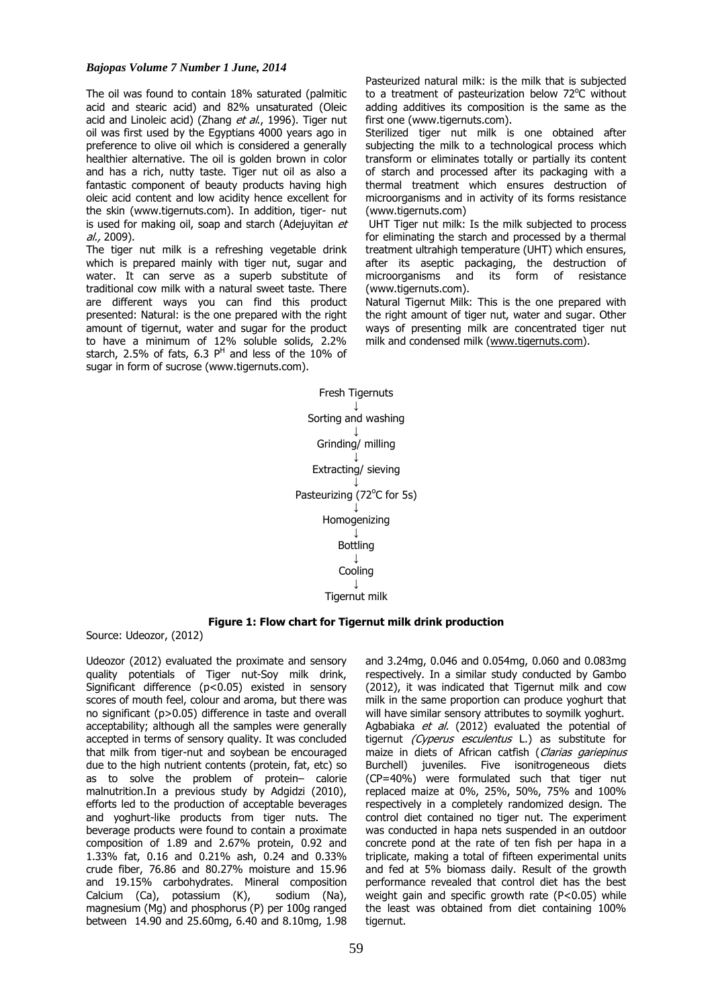The oil was found to contain 18% saturated (palmitic acid and stearic acid) and 82% unsaturated (Oleic acid and Linoleic acid) (Zhang et al., 1996). Tiger nut oil was first used by the Egyptians 4000 years ago in preference to olive oil which is considered a generally healthier alternative. The oil is golden brown in color and has a rich, nutty taste. Tiger nut oil as also a fantastic component of beauty products having high oleic acid content and low acidity hence excellent for the skin (www.tigernuts.com). In addition, tiger- nut is used for making oil, soap and starch (Adejuyitan et al., 2009).

The tiger nut milk is a refreshing vegetable drink which is prepared mainly with tiger nut, sugar and water. It can serve as a superb substitute of traditional cow milk with a natural sweet taste. There are different ways you can find this product presented: Natural: is the one prepared with the right amount of tigernut, water and sugar for the product to have a minimum of 12% soluble solids, 2.2% starch, 2.5% of fats, 6.3  $P^{H}$  and less of the 10% of sugar in form of sucrose (www.tigernuts.com).

Pasteurized natural milk: is the milk that is subjected to a treatment of pasteurization below  $72^{\circ}$ C without adding additives its composition is the same as the first one (www.tigernuts.com).

Sterilized tiger nut milk is one obtained after subjecting the milk to a technological process which transform or eliminates totally or partially its content of starch and processed after its packaging with a thermal treatment which ensures destruction of microorganisms and in activity of its forms resistance (www.tigernuts.com)

 UHT Tiger nut milk: Is the milk subjected to process for eliminating the starch and processed by a thermal treatment ultrahigh temperature (UHT) which ensures, after its aseptic packaging, the destruction of microorganisms and its form of resistance (www.tigernuts.com).

Natural Tigernut Milk: This is the one prepared with the right amount of tiger nut, water and sugar. Other ways of presenting milk are concentrated tiger nut milk and condensed milk (www.tigernuts.com).

Fresh Tigernuts ↓ Sorting and washing ↓ Grinding/ milling ↓ Extracting/ sieving ↓ Pasteurizing (72°C for 5s) ↓ Homogenizing ↓ Bottling ↓ Cooling ↓ Tigernut milk

## **Figure 1: Flow chart for Tigernut milk drink production**

Source: Udeozor, (2012)

Udeozor (2012) evaluated the proximate and sensory quality potentials of Tiger nut-Soy milk drink, Significant difference (p<0.05) existed in sensory scores of mouth feel, colour and aroma, but there was no significant (p>0.05) difference in taste and overall acceptability; although all the samples were generally accepted in terms of sensory quality. It was concluded that milk from tiger-nut and soybean be encouraged due to the high nutrient contents (protein, fat, etc) so as to solve the problem of protein– calorie malnutrition.In a previous study by Adgidzi (2010), efforts led to the production of acceptable beverages and yoghurt-like products from tiger nuts. The beverage products were found to contain a proximate composition of 1.89 and 2.67% protein, 0.92 and 1.33% fat, 0.16 and 0.21% ash, 0.24 and 0.33% crude fiber, 76.86 and 80.27% moisture and 15.96 and 19.15% carbohydrates. Mineral composition Calcium (Ca), potassium (K), sodium (Na), magnesium (Mg) and phosphorus (P) per 100g ranged between 14.90 and 25.60mg, 6.40 and 8.10mg, 1.98

and 3.24mg, 0.046 and 0.054mg, 0.060 and 0.083mg respectively. In a similar study conducted by Gambo (2012), it was indicated that Tigernut milk and cow milk in the same proportion can produce yoghurt that will have similar sensory attributes to soymilk yoghurt. Agbabiaka et al. (2012) evaluated the potential of tigernut (Cyperus esculentus L.) as substitute for maize in diets of African catfish (Clarias gariepinus Burchell) juveniles. Five isonitrogeneous diets (CP=40%) were formulated such that tiger nut replaced maize at 0%, 25%, 50%, 75% and 100% respectively in a completely randomized design. The control diet contained no tiger nut. The experiment was conducted in hapa nets suspended in an outdoor concrete pond at the rate of ten fish per hapa in a triplicate, making a total of fifteen experimental units and fed at 5% biomass daily. Result of the growth performance revealed that control diet has the best weight gain and specific growth rate (P<0.05) while the least was obtained from diet containing 100% tigernut.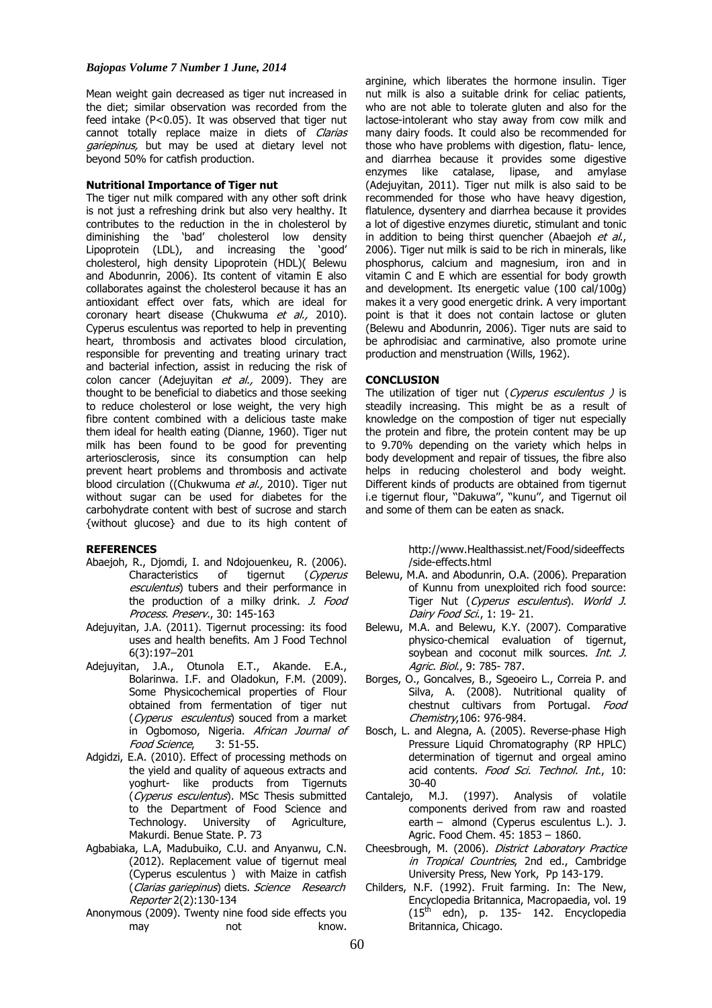Mean weight gain decreased as tiger nut increased in the diet; similar observation was recorded from the feed intake (P<0.05). It was observed that tiger nut cannot totally replace maize in diets of Clarias gariepinus, but may be used at dietary level not beyond 50% for catfish production.

#### **Nutritional Importance of Tiger nut**

The tiger nut milk compared with any other soft drink is not just a refreshing drink but also very healthy. It contributes to the reduction in the in cholesterol by diminishing the 'bad' cholesterol low density Lipoprotein (LDL), and increasing the 'good' cholesterol, high density Lipoprotein (HDL)( Belewu and Abodunrin, 2006). Its content of vitamin E also collaborates against the cholesterol because it has an antioxidant effect over fats, which are ideal for coronary heart disease (Chukwuma et al., 2010). Cyperus esculentus was reported to help in preventing heart, thrombosis and activates blood circulation, responsible for preventing and treating urinary tract and bacterial infection, assist in reducing the risk of colon cancer (Adejuyitan et al., 2009). They are thought to be beneficial to diabetics and those seeking to reduce cholesterol or lose weight, the very high fibre content combined with a delicious taste make them ideal for health eating (Dianne, 1960). Tiger nut milk has been found to be good for preventing arteriosclerosis, since its consumption can help prevent heart problems and thrombosis and activate blood circulation ((Chukwuma et al., 2010). Tiger nut without sugar can be used for diabetes for the carbohydrate content with best of sucrose and starch {without glucose} and due to its high content of

#### **REFERENCES**

- Abaejoh, R., Djomdi, I. and Ndojouenkeu, R. (2006). Characteristics of tigernut (Cyperus esculentus) tubers and their performance in the production of a milky drink. J. Food Process. Preserv., 30: 145-163
- Adejuyitan, J.A. (2011). Tigernut processing: its food uses and health benefits. Am J Food Technol 6(3):197–201
- Adejuyitan, J.A., Otunola E.T., Akande. E.A., Bolarinwa. I.F. and Oladokun, F.M. (2009). Some Physicochemical properties of Flour obtained from fermentation of tiger nut (Cyperus esculentus) souced from a market in Ogbomoso, Nigeria. African Journal of Food Science, 3: 51-55.
- Adgidzi, E.A. (2010). Effect of processing methods on the yield and quality of aqueous extracts and yoghurt- like products from Tigernuts (Cyperus esculentus). MSc Thesis submitted to the Department of Food Science and Technology. University of Agriculture, Makurdi. Benue State. P. 73
- Agbabiaka, L.A, Madubuiko, C.U. and Anyanwu, C.N. (2012). Replacement value of tigernut meal (Cyperus esculentus ) with Maize in catfish (Clarias gariepinus) diets. Science Research Reporter 2(2):130-134
- Anonymous (2009). Twenty nine food side effects you may not how.

arginine, which liberates the hormone insulin. Tiger nut milk is also a suitable drink for celiac patients, who are not able to tolerate gluten and also for the lactose-intolerant who stay away from cow milk and many dairy foods. It could also be recommended for those who have problems with digestion, flatu- lence, and diarrhea because it provides some digestive enzymes like catalase, lipase, and amylase (Adejuyitan, 2011). Tiger nut milk is also said to be recommended for those who have heavy digestion, flatulence, dysentery and diarrhea because it provides a lot of digestive enzymes diuretic, stimulant and tonic in addition to being thirst quencher (Abaejoh et al., 2006). Tiger nut milk is said to be rich in minerals, like phosphorus, calcium and magnesium, iron and in vitamin C and E which are essential for body growth and development. Its energetic value (100 cal/100g) makes it a very good energetic drink. A very important point is that it does not contain lactose or gluten (Belewu and Abodunrin, 2006). Tiger nuts are said to be aphrodisiac and carminative, also promote urine production and menstruation (Wills, 1962).

#### **CONCLUSION**

The utilization of tiger nut (Cyperus esculentus) is steadily increasing. This might be as a result of knowledge on the compostion of tiger nut especially the protein and fibre, the protein content may be up to 9.70% depending on the variety which helps in body development and repair of tissues, the fibre also helps in reducing cholesterol and body weight. Different kinds of products are obtained from tigernut i.e tigernut flour, ''Dakuwa'', ''kunu'', and Tigernut oil and some of them can be eaten as snack.

> http://www.Healthassist.net/Food/sideeffects /side-effects.html

- Belewu, M.A. and Abodunrin, O.A. (2006). Preparation of Kunnu from unexploited rich food source: Tiger Nut (Cyperus esculentus). World J. Dairy Food Sci., 1: 19- 21.
- Belewu, M.A. and Belewu, K.Y. (2007). Comparative physico-chemical evaluation of tigernut, soybean and coconut milk sources. *Int. J.* Agric. Biol., 9: 785- 787.
- Borges, O., Goncalves, B., Sgeoeiro L., Correia P. and Silva, A. (2008). Nutritional quality of chestnut cultivars from Portugal. *Food* Chemistry,106: 976-984.
- Bosch, L. and Alegna, A. (2005). Reverse-phase High Pressure Liquid Chromatography (RP HPLC) determination of tigernut and orgeal amino acid contents. Food Sci. Technol. Int., 10: 30-40
- Cantalejo, M.J. (1997). Analysis of volatile components derived from raw and roasted earth – almond (Cyperus esculentus L.). J. Agric. Food Chem. 45: 1853 – 1860.
- Cheesbrough, M. (2006). District Laboratory Practice in Tropical Countries, 2nd ed., Cambridge University Press, New York, Pp 143-179.
- Childers, N.F. (1992). Fruit farming. In: The New, Encyclopedia Britannica, Macropaedia, vol. 19  $(15<sup>th</sup>$  edn), p. 135- 142. Encyclopedia Britannica, Chicago.